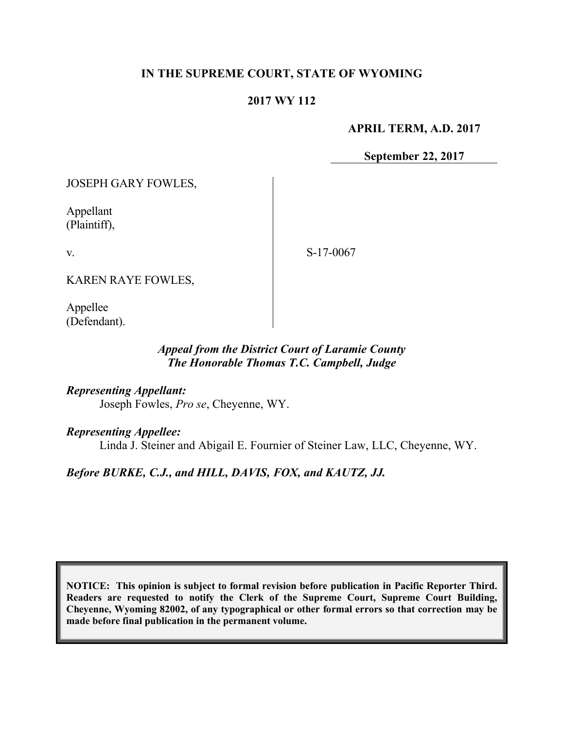### **IN THE SUPREME COURT, STATE OF WYOMING**

#### **2017 WY 112**

**APRIL TERM, A.D. 2017**

**September 22, 2017**

JOSEPH GARY FOWLES,

Appellant (Plaintiff),

v.

S-17-0067

KAREN RAYE FOWLES,

Appellee (Defendant).

#### *Appeal from the District Court of Laramie County The Honorable Thomas T.C. Campbell, Judge*

*Representing Appellant:* Joseph Fowles, *Pro se*, Cheyenne, WY.

*Representing Appellee:*

Linda J. Steiner and Abigail E. Fournier of Steiner Law, LLC, Cheyenne, WY.

#### *Before BURKE, C.J., and HILL, DAVIS, FOX, and KAUTZ, JJ.*

**NOTICE: This opinion is subject to formal revision before publication in Pacific Reporter Third. Readers are requested to notify the Clerk of the Supreme Court, Supreme Court Building, Cheyenne, Wyoming 82002, of any typographical or other formal errors so that correction may be made before final publication in the permanent volume.**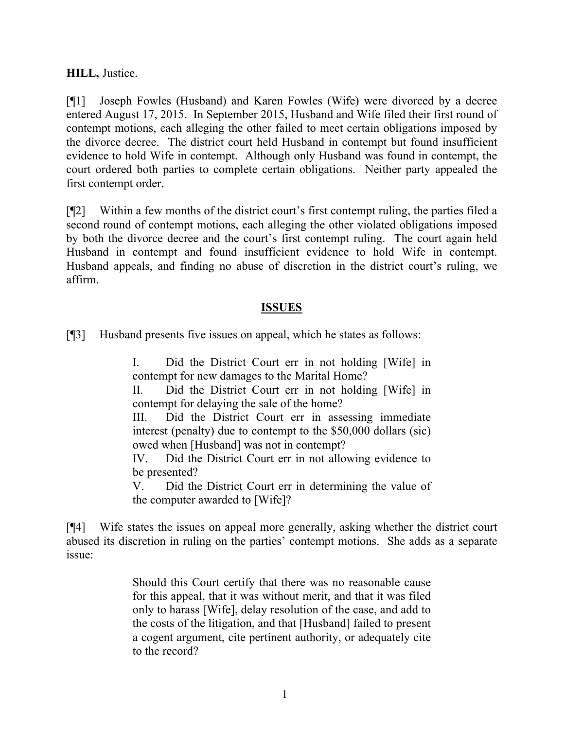**HILL,** Justice.

[¶1] Joseph Fowles (Husband) and Karen Fowles (Wife) were divorced by a decree entered August 17, 2015. In September 2015, Husband and Wife filed their first round of contempt motions, each alleging the other failed to meet certain obligations imposed by the divorce decree. The district court held Husband in contempt but found insufficient evidence to hold Wife in contempt. Although only Husband was found in contempt, the court ordered both parties to complete certain obligations. Neither party appealed the first contempt order.

[¶2] Within a few months of the district court's first contempt ruling, the parties filed a second round of contempt motions, each alleging the other violated obligations imposed by both the divorce decree and the court's first contempt ruling. The court again held Husband in contempt and found insufficient evidence to hold Wife in contempt. Husband appeals, and finding no abuse of discretion in the district court's ruling, we affirm.

### **ISSUES**

[¶3] Husband presents five issues on appeal, which he states as follows:

I. Did the District Court err in not holding [Wife] in contempt for new damages to the Marital Home?

II. Did the District Court err in not holding [Wife] in contempt for delaying the sale of the home?

III. Did the District Court err in assessing immediate interest (penalty) due to contempt to the \$50,000 dollars (sic) owed when [Husband] was not in contempt?

IV. Did the District Court err in not allowing evidence to be presented?

V. Did the District Court err in determining the value of the computer awarded to [Wife]?

[¶4] Wife states the issues on appeal more generally, asking whether the district court abused its discretion in ruling on the parties' contempt motions. She adds as a separate issue:

> Should this Court certify that there was no reasonable cause for this appeal, that it was without merit, and that it was filed only to harass [Wife], delay resolution of the case, and add to the costs of the litigation, and that [Husband] failed to present a cogent argument, cite pertinent authority, or adequately cite to the record?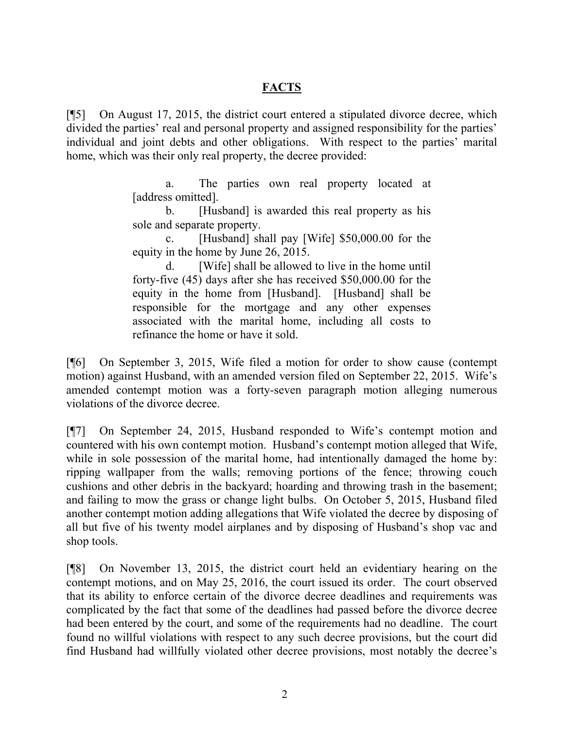### **FACTS**

[¶5] On August 17, 2015, the district court entered a stipulated divorce decree, which divided the parties' real and personal property and assigned responsibility for the parties' individual and joint debts and other obligations. With respect to the parties' marital home, which was their only real property, the decree provided:

> a. The parties own real property located at [address omitted].

> b. [Husband] is awarded this real property as his sole and separate property.

> c. [Husband] shall pay [Wife] \$50,000.00 for the equity in the home by June 26, 2015.

> [Wife] shall be allowed to live in the home until forty-five (45) days after she has received \$50,000.00 for the equity in the home from [Husband]. [Husband] shall be responsible for the mortgage and any other expenses associated with the marital home, including all costs to refinance the home or have it sold.

[¶6] On September 3, 2015, Wife filed a motion for order to show cause (contempt motion) against Husband, with an amended version filed on September 22, 2015. Wife's amended contempt motion was a forty-seven paragraph motion alleging numerous violations of the divorce decree.

[¶7] On September 24, 2015, Husband responded to Wife's contempt motion and countered with his own contempt motion. Husband's contempt motion alleged that Wife, while in sole possession of the marital home, had intentionally damaged the home by: ripping wallpaper from the walls; removing portions of the fence; throwing couch cushions and other debris in the backyard; hoarding and throwing trash in the basement; and failing to mow the grass or change light bulbs. On October 5, 2015, Husband filed another contempt motion adding allegations that Wife violated the decree by disposing of all but five of his twenty model airplanes and by disposing of Husband's shop vac and shop tools.

[¶8] On November 13, 2015, the district court held an evidentiary hearing on the contempt motions, and on May 25, 2016, the court issued its order. The court observed that its ability to enforce certain of the divorce decree deadlines and requirements was complicated by the fact that some of the deadlines had passed before the divorce decree had been entered by the court, and some of the requirements had no deadline. The court found no willful violations with respect to any such decree provisions, but the court did find Husband had willfully violated other decree provisions, most notably the decree's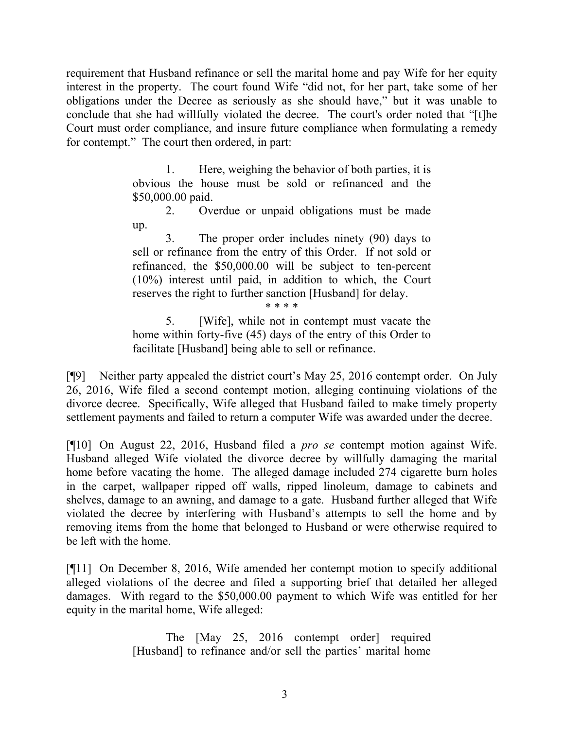requirement that Husband refinance or sell the marital home and pay Wife for her equity interest in the property. The court found Wife "did not, for her part, take some of her obligations under the Decree as seriously as she should have," but it was unable to conclude that she had willfully violated the decree. The court's order noted that "[t]he Court must order compliance, and insure future compliance when formulating a remedy for contempt." The court then ordered, in part:

> 1. Here, weighing the behavior of both parties, it is obvious the house must be sold or refinanced and the \$50,000.00 paid.

> 2. Overdue or unpaid obligations must be made up.

> 3. The proper order includes ninety (90) days to sell or refinance from the entry of this Order. If not sold or refinanced, the \$50,000.00 will be subject to ten-percent (10%) interest until paid, in addition to which, the Court reserves the right to further sanction [Husband] for delay.

\* \* \* \*

5. [Wife], while not in contempt must vacate the home within forty-five (45) days of the entry of this Order to facilitate [Husband] being able to sell or refinance.

[¶9] Neither party appealed the district court's May 25, 2016 contempt order. On July 26, 2016, Wife filed a second contempt motion, alleging continuing violations of the divorce decree. Specifically, Wife alleged that Husband failed to make timely property settlement payments and failed to return a computer Wife was awarded under the decree.

[¶10] On August 22, 2016, Husband filed a *pro se* contempt motion against Wife. Husband alleged Wife violated the divorce decree by willfully damaging the marital home before vacating the home. The alleged damage included 274 cigarette burn holes in the carpet, wallpaper ripped off walls, ripped linoleum, damage to cabinets and shelves, damage to an awning, and damage to a gate. Husband further alleged that Wife violated the decree by interfering with Husband's attempts to sell the home and by removing items from the home that belonged to Husband or were otherwise required to be left with the home.

[¶11] On December 8, 2016, Wife amended her contempt motion to specify additional alleged violations of the decree and filed a supporting brief that detailed her alleged damages. With regard to the \$50,000.00 payment to which Wife was entitled for her equity in the marital home, Wife alleged:

> The [May 25, 2016 contempt order] required [Husband] to refinance and/or sell the parties' marital home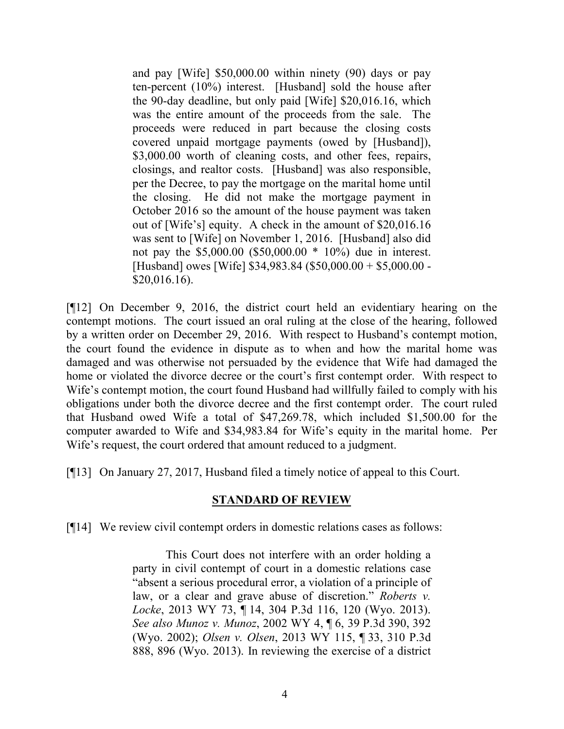and pay [Wife] \$50,000.00 within ninety (90) days or pay ten-percent (10%) interest. [Husband] sold the house after the 90-day deadline, but only paid [Wife] \$20,016.16, which was the entire amount of the proceeds from the sale. The proceeds were reduced in part because the closing costs covered unpaid mortgage payments (owed by [Husband]), \$3,000.00 worth of cleaning costs, and other fees, repairs, closings, and realtor costs. [Husband] was also responsible, per the Decree, to pay the mortgage on the marital home until the closing. He did not make the mortgage payment in October 2016 so the amount of the house payment was taken out of [Wife's] equity. A check in the amount of \$20,016.16 was sent to [Wife] on November 1, 2016. [Husband] also did not pay the \$5,000.00 (\$50,000.00 \* 10%) due in interest. [Husband] owes [Wife] \$34,983.84 (\$50,000.00 + \$5,000.00 - \$20,016.16).

[¶12] On December 9, 2016, the district court held an evidentiary hearing on the contempt motions. The court issued an oral ruling at the close of the hearing, followed by a written order on December 29, 2016. With respect to Husband's contempt motion, the court found the evidence in dispute as to when and how the marital home was damaged and was otherwise not persuaded by the evidence that Wife had damaged the home or violated the divorce decree or the court's first contempt order. With respect to Wife's contempt motion, the court found Husband had willfully failed to comply with his obligations under both the divorce decree and the first contempt order. The court ruled that Husband owed Wife a total of \$47,269.78, which included \$1,500.00 for the computer awarded to Wife and \$34,983.84 for Wife's equity in the marital home. Per Wife's request, the court ordered that amount reduced to a judgment.

[¶13] On January 27, 2017, Husband filed a timely notice of appeal to this Court.

#### **STANDARD OF REVIEW**

[¶14] We review civil contempt orders in domestic relations cases as follows:

This Court does not interfere with an order holding a party in civil contempt of court in a domestic relations case "absent a serious procedural error, a violation of a principle of law, or a clear and grave abuse of discretion." *Roberts v. Locke*, 2013 WY 73, ¶ 14, 304 P.3d 116, 120 (Wyo. 2013). *See also Munoz v. Munoz*, 2002 WY 4, ¶ 6, 39 P.3d 390, 392 (Wyo. 2002); *Olsen v. Olsen*, 2013 WY 115, ¶ 33, 310 P.3d 888, 896 (Wyo. 2013). In reviewing the exercise of a district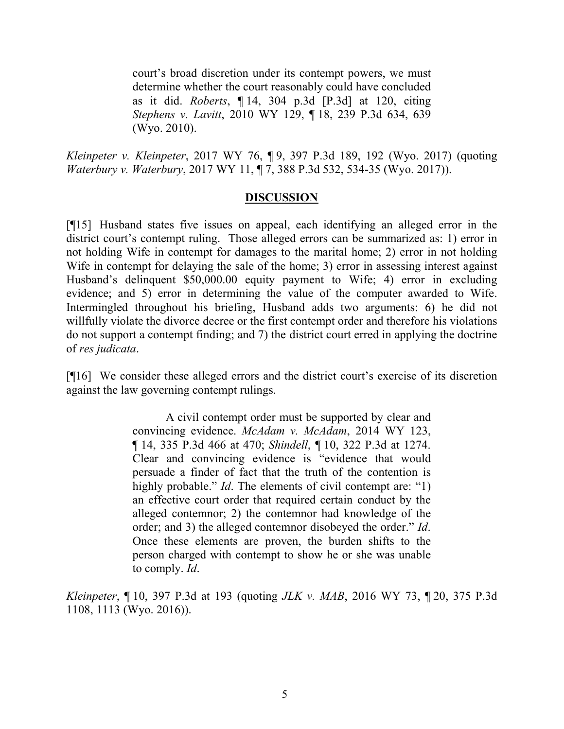court's broad discretion under its contempt powers, we must determine whether the court reasonably could have concluded as it did. *Roberts*, ¶ 14, 304 p.3d [P.3d] at 120, citing *Stephens v. Lavitt*, 2010 WY 129, ¶ 18, 239 P.3d 634, 639 (Wyo. 2010).

*Kleinpeter v. Kleinpeter*, 2017 WY 76, ¶ 9, 397 P.3d 189, 192 (Wyo. 2017) (quoting *Waterbury v. Waterbury*, 2017 WY 11, ¶ 7, 388 P.3d 532, 534-35 (Wyo. 2017)).

#### **DISCUSSION**

[¶15] Husband states five issues on appeal, each identifying an alleged error in the district court's contempt ruling. Those alleged errors can be summarized as: 1) error in not holding Wife in contempt for damages to the marital home; 2) error in not holding Wife in contempt for delaying the sale of the home; 3) error in assessing interest against Husband's delinquent \$50,000.00 equity payment to Wife; 4) error in excluding evidence; and 5) error in determining the value of the computer awarded to Wife. Intermingled throughout his briefing, Husband adds two arguments: 6) he did not willfully violate the divorce decree or the first contempt order and therefore his violations do not support a contempt finding; and 7) the district court erred in applying the doctrine of *res judicata*.

[¶16] We consider these alleged errors and the district court's exercise of its discretion against the law governing contempt rulings.

> A civil contempt order must be supported by clear and convincing evidence. *McAdam v. McAdam*, 2014 WY 123, ¶ 14, 335 P.3d 466 at 470; *Shindell*, ¶ 10, 322 P.3d at 1274. Clear and convincing evidence is "evidence that would persuade a finder of fact that the truth of the contention is highly probable." *Id*. The elements of civil contempt are: "1) an effective court order that required certain conduct by the alleged contemnor; 2) the contemnor had knowledge of the order; and 3) the alleged contemnor disobeyed the order." *Id*. Once these elements are proven, the burden shifts to the person charged with contempt to show he or she was unable to comply. *Id*.

*Kleinpeter*, ¶ 10, 397 P.3d at 193 (quoting *JLK v. MAB*, 2016 WY 73, ¶ 20, 375 P.3d 1108, 1113 (Wyo. 2016)).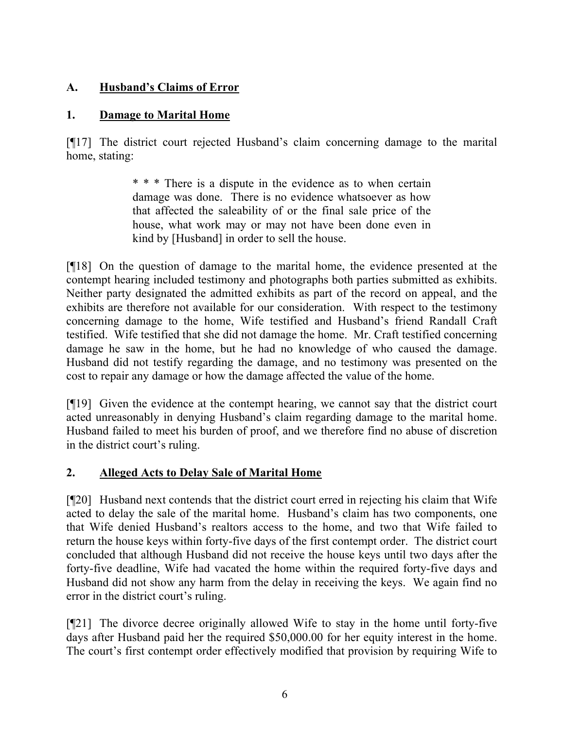# **A. Husband's Claims of Error**

# **1. Damage to Marital Home**

[¶17] The district court rejected Husband's claim concerning damage to the marital home, stating:

> \* \* \* There is a dispute in the evidence as to when certain damage was done. There is no evidence whatsoever as how that affected the saleability of or the final sale price of the house, what work may or may not have been done even in kind by [Husband] in order to sell the house.

[¶18] On the question of damage to the marital home, the evidence presented at the contempt hearing included testimony and photographs both parties submitted as exhibits. Neither party designated the admitted exhibits as part of the record on appeal, and the exhibits are therefore not available for our consideration. With respect to the testimony concerning damage to the home, Wife testified and Husband's friend Randall Craft testified. Wife testified that she did not damage the home. Mr. Craft testified concerning damage he saw in the home, but he had no knowledge of who caused the damage. Husband did not testify regarding the damage, and no testimony was presented on the cost to repair any damage or how the damage affected the value of the home.

[¶19] Given the evidence at the contempt hearing, we cannot say that the district court acted unreasonably in denying Husband's claim regarding damage to the marital home. Husband failed to meet his burden of proof, and we therefore find no abuse of discretion in the district court's ruling.

# **2. Alleged Acts to Delay Sale of Marital Home**

[¶20] Husband next contends that the district court erred in rejecting his claim that Wife acted to delay the sale of the marital home. Husband's claim has two components, one that Wife denied Husband's realtors access to the home, and two that Wife failed to return the house keys within forty-five days of the first contempt order. The district court concluded that although Husband did not receive the house keys until two days after the forty-five deadline, Wife had vacated the home within the required forty-five days and Husband did not show any harm from the delay in receiving the keys. We again find no error in the district court's ruling.

[¶21] The divorce decree originally allowed Wife to stay in the home until forty-five days after Husband paid her the required \$50,000.00 for her equity interest in the home. The court's first contempt order effectively modified that provision by requiring Wife to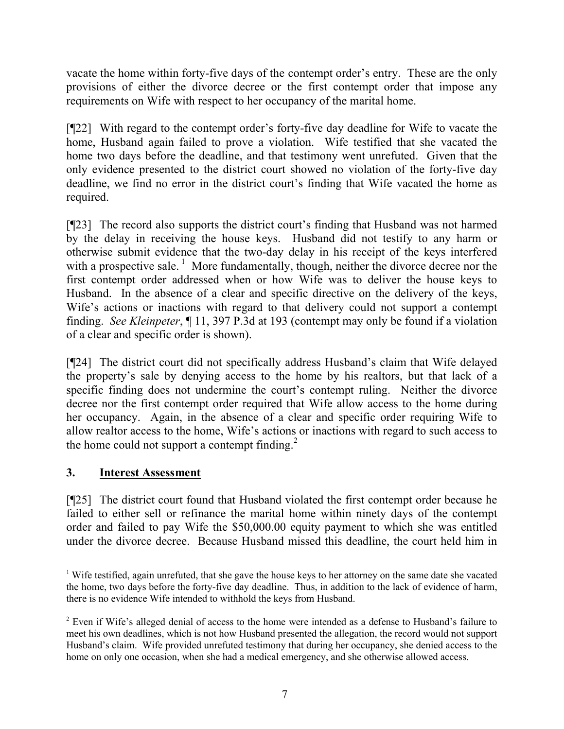vacate the home within forty-five days of the contempt order's entry. These are the only provisions of either the divorce decree or the first contempt order that impose any requirements on Wife with respect to her occupancy of the marital home.

[¶22] With regard to the contempt order's forty-five day deadline for Wife to vacate the home, Husband again failed to prove a violation. Wife testified that she vacated the home two days before the deadline, and that testimony went unrefuted. Given that the only evidence presented to the district court showed no violation of the forty-five day deadline, we find no error in the district court's finding that Wife vacated the home as required.

[¶23] The record also supports the district court's finding that Husband was not harmed by the delay in receiving the house keys. Husband did not testify to any harm or otherwise submit evidence that the two-day delay in his receipt of the keys interfered with a prospective sale.<sup>1</sup> More fundamentally, though, neither the divorce decree nor the first contempt order addressed when or how Wife was to deliver the house keys to Husband. In the absence of a clear and specific directive on the delivery of the keys, Wife's actions or inactions with regard to that delivery could not support a contempt finding. *See Kleinpeter*, ¶ 11, 397 P.3d at 193 (contempt may only be found if a violation of a clear and specific order is shown).

[¶24] The district court did not specifically address Husband's claim that Wife delayed the property's sale by denying access to the home by his realtors, but that lack of a specific finding does not undermine the court's contempt ruling. Neither the divorce decree nor the first contempt order required that Wife allow access to the home during her occupancy. Again, in the absence of a clear and specific order requiring Wife to allow realtor access to the home, Wife's actions or inactions with regard to such access to the home could not support a contempt finding. $2^2$ 

## **3. Interest Assessment**

[¶25] The district court found that Husband violated the first contempt order because he failed to either sell or refinance the marital home within ninety days of the contempt order and failed to pay Wife the \$50,000.00 equity payment to which she was entitled under the divorce decree. Because Husband missed this deadline, the court held him in

l <sup>1</sup> Wife testified, again unrefuted, that she gave the house keys to her attorney on the same date she vacated the home, two days before the forty-five day deadline. Thus, in addition to the lack of evidence of harm, there is no evidence Wife intended to withhold the keys from Husband.

<sup>2</sup> Even if Wife's alleged denial of access to the home were intended as a defense to Husband's failure to meet his own deadlines, which is not how Husband presented the allegation, the record would not support Husband's claim. Wife provided unrefuted testimony that during her occupancy, she denied access to the home on only one occasion, when she had a medical emergency, and she otherwise allowed access.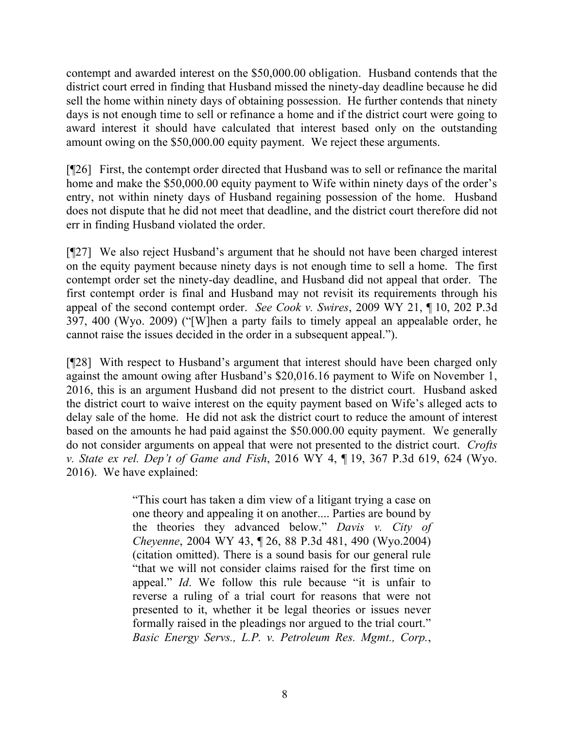contempt and awarded interest on the \$50,000.00 obligation. Husband contends that the district court erred in finding that Husband missed the ninety-day deadline because he did sell the home within ninety days of obtaining possession. He further contends that ninety days is not enough time to sell or refinance a home and if the district court were going to award interest it should have calculated that interest based only on the outstanding amount owing on the \$50,000.00 equity payment. We reject these arguments.

[¶26] First, the contempt order directed that Husband was to sell or refinance the marital home and make the \$50,000.00 equity payment to Wife within ninety days of the order's entry, not within ninety days of Husband regaining possession of the home. Husband does not dispute that he did not meet that deadline, and the district court therefore did not err in finding Husband violated the order.

[¶27] We also reject Husband's argument that he should not have been charged interest on the equity payment because ninety days is not enough time to sell a home. The first contempt order set the ninety-day deadline, and Husband did not appeal that order. The first contempt order is final and Husband may not revisit its requirements through his appeal of the second contempt order. *See Cook v. Swires*, 2009 WY 21, ¶ 10, 202 P.3d 397, 400 (Wyo. 2009) ("[W]hen a party fails to timely appeal an appealable order, he cannot raise the issues decided in the order in a subsequent appeal.").

[¶28] With respect to Husband's argument that interest should have been charged only against the amount owing after Husband's \$20,016.16 payment to Wife on November 1, 2016, this is an argument Husband did not present to the district court. Husband asked the district court to waive interest on the equity payment based on Wife's alleged acts to delay sale of the home. He did not ask the district court to reduce the amount of interest based on the amounts he had paid against the \$50.000.00 equity payment. We generally do not consider arguments on appeal that were not presented to the district court. *Crofts v. State ex rel. Dep't of Game and Fish*, 2016 WY 4, ¶ 19, 367 P.3d 619, 624 (Wyo. 2016). We have explained:

> "This court has taken a dim view of a litigant trying a case on one theory and appealing it on another.... Parties are bound by the theories they advanced below." *Davis v. City of Cheyenne*, 2004 WY 43, ¶ 26, 88 P.3d 481, 490 (Wyo.2004) (citation omitted). There is a sound basis for our general rule "that we will not consider claims raised for the first time on appeal." *Id*. We follow this rule because "it is unfair to reverse a ruling of a trial court for reasons that were not presented to it, whether it be legal theories or issues never formally raised in the pleadings nor argued to the trial court." *Basic Energy Servs., L.P. v. Petroleum Res. Mgmt., Corp.*,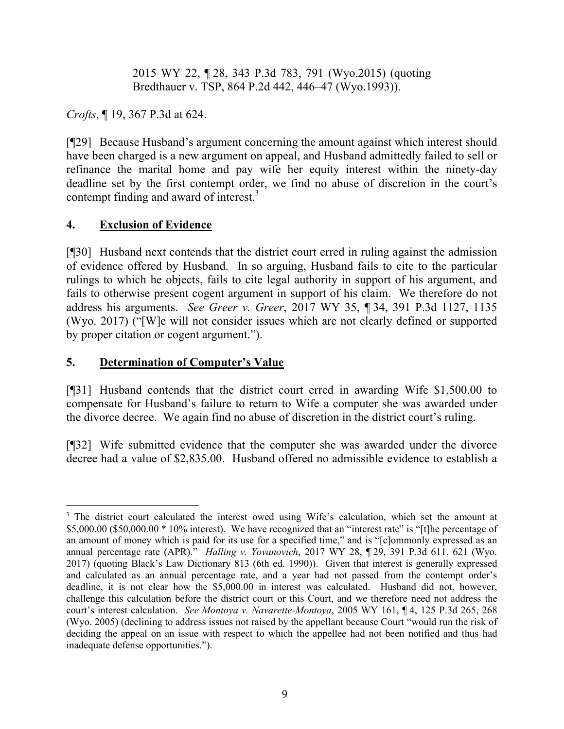2015 WY 22, ¶ 28, 343 P.3d 783, 791 (Wyo.2015) (quoting Bredthauer v. TSP, 864 P.2d 442, 446–47 (Wyo.1993)).

*Crofts*, ¶ 19, 367 P.3d at 624.

[¶29] Because Husband's argument concerning the amount against which interest should have been charged is a new argument on appeal, and Husband admittedly failed to sell or refinance the marital home and pay wife her equity interest within the ninety-day deadline set by the first contempt order, we find no abuse of discretion in the court's contempt finding and award of interest.<sup>3</sup>

## **4. Exclusion of Evidence**

 $\overline{a}$ 

[¶30] Husband next contends that the district court erred in ruling against the admission of evidence offered by Husband. In so arguing, Husband fails to cite to the particular rulings to which he objects, fails to cite legal authority in support of his argument, and fails to otherwise present cogent argument in support of his claim. We therefore do not address his arguments. *See Greer v. Greer*, 2017 WY 35, ¶ 34, 391 P.3d 1127, 1135 (Wyo. 2017) ("[W]e will not consider issues which are not clearly defined or supported by proper citation or cogent argument.").

## **5. Determination of Computer's Value**

[¶31] Husband contends that the district court erred in awarding Wife \$1,500.00 to compensate for Husband's failure to return to Wife a computer she was awarded under the divorce decree. We again find no abuse of discretion in the district court's ruling.

[¶32] Wife submitted evidence that the computer she was awarded under the divorce decree had a value of \$2,835.00. Husband offered no admissible evidence to establish a

<sup>&</sup>lt;sup>3</sup> The district court calculated the interest owed using Wife's calculation, which set the amount at \$5,000.00 (\$50,000.00 \* 10% interest). We have recognized that an "interest rate" is "[t]he percentage of an amount of money which is paid for its use for a specified time," and is "[c]ommonly expressed as an annual percentage rate (APR)." *Halling v. Yovanovich*, 2017 WY 28, ¶ 29, 391 P.3d 611, 621 (Wyo. 2017) (quoting Black's Law Dictionary 813 (6th ed. 1990)). Given that interest is generally expressed and calculated as an annual percentage rate, and a year had not passed from the contempt order's deadline, it is not clear how the \$5,000.00 in interest was calculated. Husband did not, however, challenge this calculation before the district court or this Court, and we therefore need not address the court's interest calculation. *See Montoya v. Navarette-Montoya*, 2005 WY 161, ¶ 4, 125 P.3d 265, 268 (Wyo. 2005) (declining to address issues not raised by the appellant because Court "would run the risk of deciding the appeal on an issue with respect to which the appellee had not been notified and thus had inadequate defense opportunities.").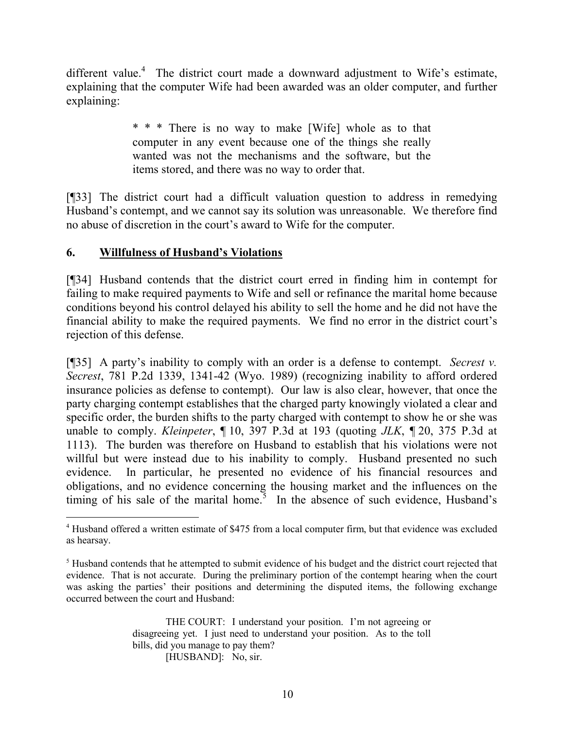different value.<sup>4</sup> The district court made a downward adjustment to Wife's estimate, explaining that the computer Wife had been awarded was an older computer, and further explaining:

> \* \* \* There is no way to make [Wife] whole as to that computer in any event because one of the things she really wanted was not the mechanisms and the software, but the items stored, and there was no way to order that.

[¶33] The district court had a difficult valuation question to address in remedying Husband's contempt, and we cannot say its solution was unreasonable. We therefore find no abuse of discretion in the court's award to Wife for the computer.

### **6. Willfulness of Husband's Violations**

 $\overline{a}$ 

[¶34] Husband contends that the district court erred in finding him in contempt for failing to make required payments to Wife and sell or refinance the marital home because conditions beyond his control delayed his ability to sell the home and he did not have the financial ability to make the required payments. We find no error in the district court's rejection of this defense.

[¶35] A party's inability to comply with an order is a defense to contempt. *Secrest v. Secrest*, 781 P.2d 1339, 1341-42 (Wyo. 1989) (recognizing inability to afford ordered insurance policies as defense to contempt). Our law is also clear, however, that once the party charging contempt establishes that the charged party knowingly violated a clear and specific order, the burden shifts to the party charged with contempt to show he or she was unable to comply. *Kleinpeter*, ¶ 10, 397 P.3d at 193 (quoting *JLK*, ¶ 20, 375 P.3d at 1113). The burden was therefore on Husband to establish that his violations were not willful but were instead due to his inability to comply. Husband presented no such evidence. In particular, he presented no evidence of his financial resources and obligations, and no evidence concerning the housing market and the influences on the timing of his sale of the marital home.<sup>5</sup> In the absence of such evidence, Husband's

<sup>4</sup> Husband offered a written estimate of \$475 from a local computer firm, but that evidence was excluded as hearsay.

 $<sup>5</sup>$  Husband contends that he attempted to submit evidence of his budget and the district court rejected that</sup> evidence. That is not accurate. During the preliminary portion of the contempt hearing when the court was asking the parties' their positions and determining the disputed items, the following exchange occurred between the court and Husband: